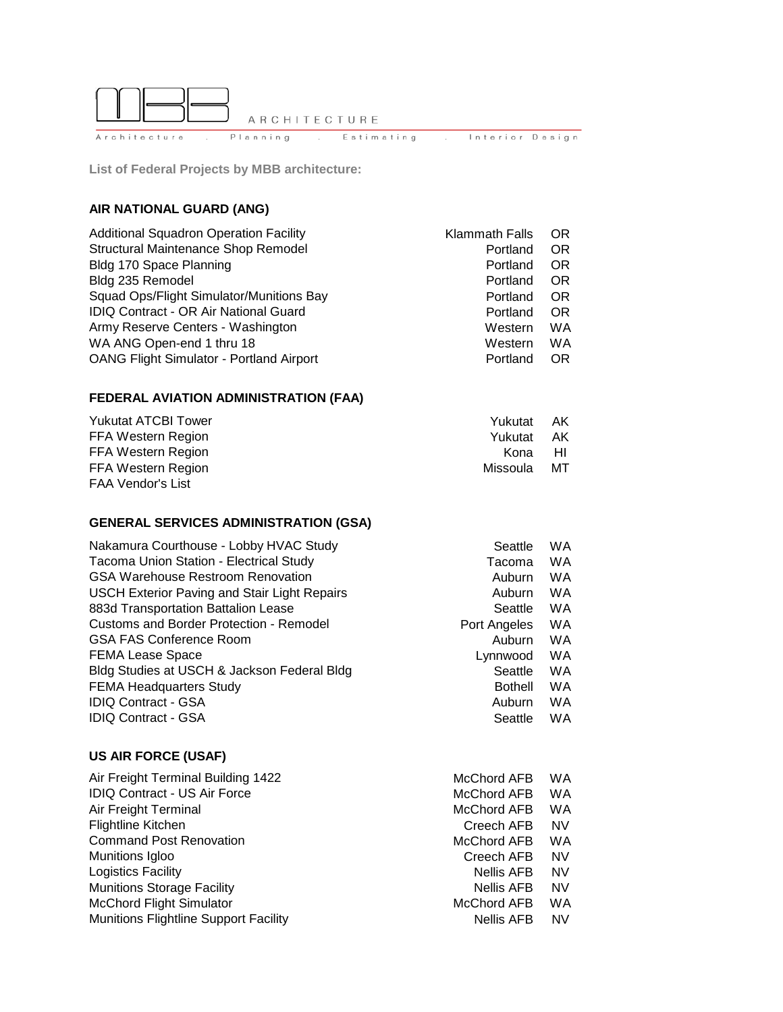

**List of Federal Projects by MBB architecture:**

### **AIR NATIONAL GUARD (ANG)**

| <b>Additional Squadron Operation Facility</b>   | Klammath Falls | OR        |
|-------------------------------------------------|----------------|-----------|
| Structural Maintenance Shop Remodel             | Portland       | OR        |
| Bldg 170 Space Planning                         | Portland       | <b>OR</b> |
| Bldg 235 Remodel                                | Portland       | <b>OR</b> |
| Squad Ops/Flight Simulator/Munitions Bay        | Portland       | <b>OR</b> |
| IDIQ Contract - OR Air National Guard           | Portland       | <b>OR</b> |
| Army Reserve Centers - Washington               | Western        | WA        |
| WA ANG Open-end 1 thru 18                       | Western        | WA        |
| <b>OANG Flight Simulator - Portland Airport</b> | Portland       | OR        |

#### **FEDERAL AVIATION ADMINISTRATION (FAA)**

| <b>Yukutat ATCBI Tower</b> | Yukutat AK |      |
|----------------------------|------------|------|
| FFA Western Region         | Yukutat    | – AK |
| FFA Western Region         | Kona HI    |      |
| FFA Western Region         | Missoula   | MТ   |
| <b>FAA Vendor's List</b>   |            |      |

### **GENERAL SERVICES ADMINISTRATION (GSA)**

| Nakamura Courthouse - Lobby HVAC Study              | Seattle        | WA        |
|-----------------------------------------------------|----------------|-----------|
| <b>Tacoma Union Station - Electrical Study</b>      | Tacoma         | <b>WA</b> |
| <b>GSA Warehouse Restroom Renovation</b>            | Auburn         | <b>WA</b> |
| <b>USCH Exterior Paving and Stair Light Repairs</b> | Auburn         | <b>WA</b> |
| 883d Transportation Battalion Lease                 | Seattle        | <b>WA</b> |
| <b>Customs and Border Protection - Remodel</b>      | Port Angeles   | <b>WA</b> |
| <b>GSA FAS Conference Room</b>                      | Auburn         | <b>WA</b> |
| <b>FEMA Lease Space</b>                             | Lynnwood       | <b>WA</b> |
| Bldg Studies at USCH & Jackson Federal Bldg         | Seattle        | <b>WA</b> |
| <b>FEMA Headquarters Study</b>                      | <b>Bothell</b> | WA        |
| <b>IDIQ Contract - GSA</b>                          | Auburn         | <b>WA</b> |
| <b>IDIQ Contract - GSA</b>                          | Seattle        | WA        |

#### **US AIR FORCE (USAF)**

| Air Freight Terminal Building 1422           | McChord AFB       | WA        |
|----------------------------------------------|-------------------|-----------|
| <b>IDIQ Contract - US Air Force</b>          | McChord AFB       | WA        |
| Air Freight Terminal                         | McChord AFB       | WA        |
| <b>Flightline Kitchen</b>                    | Creech AFB        | <b>NV</b> |
| <b>Command Post Renovation</b>               | McChord AFB       | WA        |
| Munitions Igloo                              | Creech AFB        | <b>NV</b> |
| Logistics Facility                           | <b>Nellis AFB</b> | <b>NV</b> |
| <b>Munitions Storage Facility</b>            | <b>Nellis AFB</b> | <b>NV</b> |
| <b>McChord Flight Simulator</b>              | McChord AFB       | WA        |
| <b>Munitions Flightline Support Facility</b> | <b>Nellis AFB</b> | <b>NV</b> |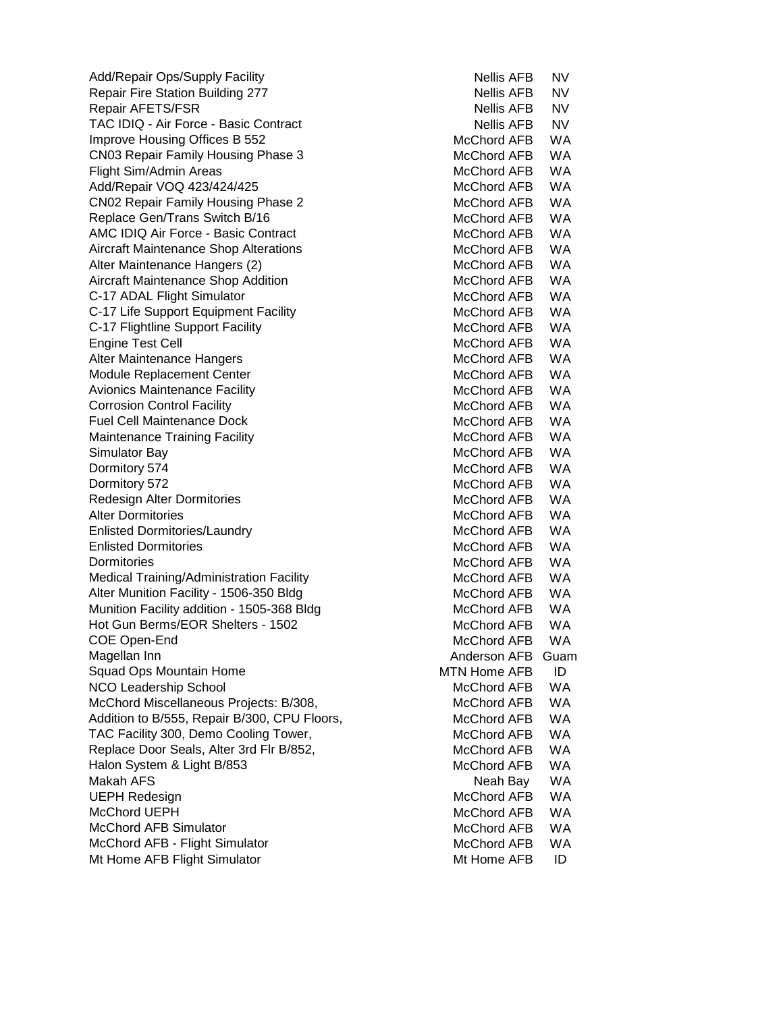Add/Repair Ops/Supply Facility Nellis AFB NV Repair Fire Station Building 277 Nellis AFB NV Repair AFETS/FSR Nellis AFB NV TAC IDIQ - Air Force - Basic Contract Nellis AFB NV Improve Housing Offices B 552 McChord AFB WA CN03 Repair Family Housing Phase 3 McChord AFB WA Flight Sim/Admin Areas Manual Areas McChord AFB WA Add/Repair VOQ 423/424/425 McChord AFB WA CN02 Repair Family Housing Phase 2 McChord AFB WA Replace Gen/Trans Switch B/16 McChord AFB WA AMC IDIQ Air Force - Basic Contract McChord AFB WA Aircraft Maintenance Shop Alterations **McChord AFB** WA Alter Maintenance Hangers (2) McChord AFB WA Aircraft Maintenance Shop Addition McChord AFB WA C-17 ADAL Flight Simulator Manuscript C-17 ADAL Flight Simulator McChord AFB WA C-17 Life Support Equipment Facility McChord AFB WA C-17 Flightline Support Facility McChord AFB WA Engine Test Cell **McChord AFB** WA Alter Maintenance Hangers **McChord AFB** WA Module Replacement Center McChord AFB WA Avionics Maintenance Facility McChord AFB WA Corrosion Control Facility McChord AFB WA Fuel Cell Maintenance Dock McChord AFB WA Maintenance Training Facility Maintenance Training Facility McChord AFB WA Simulator Bay North Communication Communication of the McChord AFB WA Dormitory 574 McChord AFB WA Dormitory 572 **McChord AFB** WA Redesign Alter Dormitories McChord AFB WA Alter Dormitories **McChord AFB** WA Enlisted Dormitories/Laundry McChord AFB WA Enlisted Dormitories **McChord AFB** WA Dormitories McChord AFB WA Medical Training/Administration Facility McChord AFB WA Alter Munition Facility - 1506-350 Bldg McChord AFB WA Munition Facility addition - 1505-368 Bldg McChord AFB WA Hot Gun Berms/EOR Shelters - 1502 McChord AFB WA COE Open-End McChord AFB WA Magellan Inn **Anderson AFB** Guam Squad Ops Mountain Home MTC MTC MTC MTN Home AFB ID NCO Leadership School and McChord AFB WA McChord Miscellaneous Projects: B/308, McChord AFB WA Addition to B/555, Repair B/300, CPU Floors, McChord AFB WA TAC Facility 300, Demo Cooling Tower, TAC McChord AFB WA Replace Door Seals, Alter 3rd Flr B/852, McChord AFB WA Halon System & Light B/853 McChord AFB WA Makah AFS Neah Bay WA UEPH Redesign Management Controller McChord AFB WA McChord UEPH Mechanics and the McChord AFB WA McChord AFB Simulator McChord AFB WA McChord AFB - Flight Simulator Manuscript McChord AFB WA Mt Home AFB Flight Simulator Mt Home AFB ID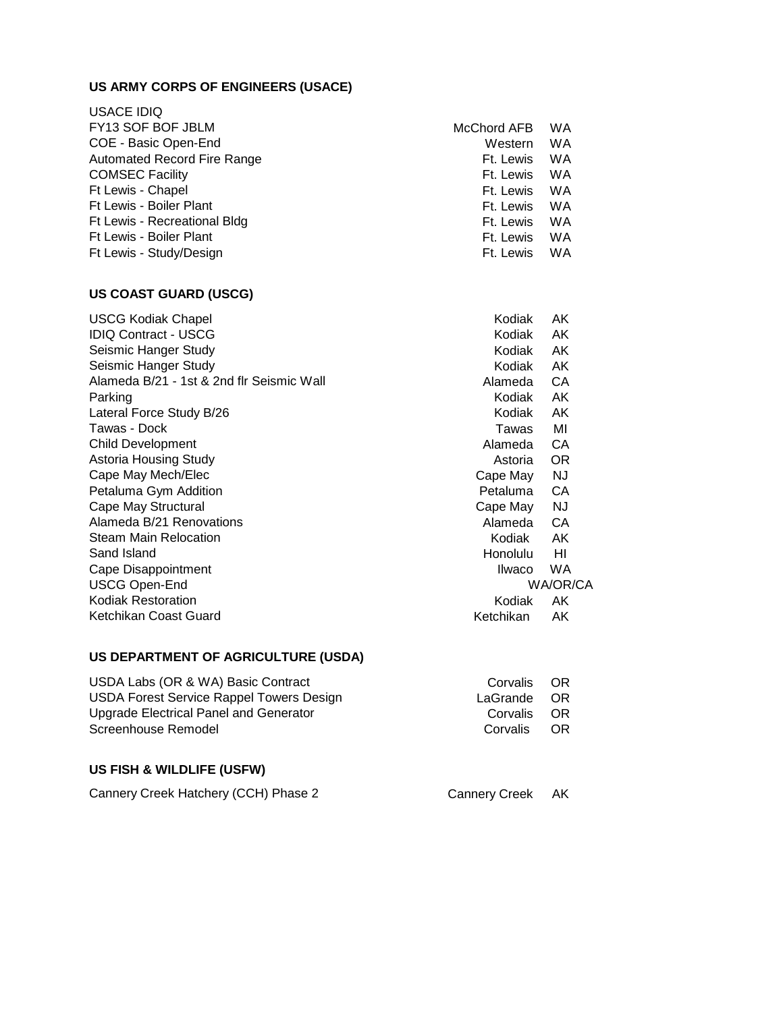# **US ARMY CORPS OF ENGINEERS (USACE)**

| <b>USACE IDIQ</b>            |             |           |
|------------------------------|-------------|-----------|
| FY13 SOF BOF JBLM            | McChord AFB | <b>WA</b> |
| COE - Basic Open-End         | Western     | <b>WA</b> |
| Automated Record Fire Range  | Ft. Lewis   | <b>WA</b> |
| <b>COMSEC Facility</b>       | Ft. Lewis   | WA        |
| Ft Lewis - Chapel            | Ft. Lewis   | WA        |
| Ft Lewis - Boiler Plant      | Ft. Lewis   | WA        |
| Ft Lewis - Recreational Bldg | Ft. Lewis   | WA        |
| Ft Lewis - Boiler Plant      | Ft. Lewis   | WA        |
| Ft Lewis - Study/Design      | Ft. Lewis   | <b>WA</b> |
|                              |             |           |

#### **US COAST GUARD (USCG)**

| <b>USCG Kodiak Chapel</b>                 | Kodiak          | AK        |
|-------------------------------------------|-----------------|-----------|
| <b>IDIQ Contract - USCG</b>               | Kodiak          | AK        |
| Seismic Hanger Study                      | Kodiak          | AK        |
| Seismic Hanger Study                      | Kodiak          | AK        |
| Alameda B/21 - 1st & 2nd flr Seismic Wall | Alameda         | CA        |
| Parking                                   | Kodiak          | AK        |
| Lateral Force Study B/26                  | Kodiak          | AK        |
| Tawas - Dock                              | Tawas           | MI        |
| <b>Child Development</b>                  | Alameda         | CA        |
| <b>Astoria Housing Study</b>              | Astoria         | <b>OR</b> |
| Cape May Mech/Elec                        | Cape May        | NJ        |
| Petaluma Gym Addition                     | Petaluma        | CA        |
| Cape May Structural                       | Cape May        | NJ        |
| Alameda B/21 Renovations                  | Alameda         | CA        |
| <b>Steam Main Relocation</b>              | Kodiak          | AK        |
| Sand Island                               | <b>Honolulu</b> | HI        |
| Cape Disappointment                       | Ilwaco          | <b>WA</b> |
| <b>USCG Open-End</b>                      |                 | WA/OR/CA  |
| Kodiak Restoration                        | Kodiak          | AK.       |
| Ketchikan Coast Guard                     | Ketchikan       | AK        |
|                                           |                 |           |

## **US DEPARTMENT OF AGRICULTURE (USDA)**

| USDA Labs (OR & WA) Basic Contract              | Corvalis OR |  |
|-------------------------------------------------|-------------|--|
| <b>USDA Forest Service Rappel Towers Design</b> | LaGrande OR |  |
| Upgrade Electrical Panel and Generator          | Corvalis OR |  |
| Screenhouse Remodel                             | Corvalis OR |  |

## **US FISH & WILDLIFE (USFW)**

| Cannery Creek Hatchery (CCH) Phase 2 | Cannery Creek AK |  |
|--------------------------------------|------------------|--|
|--------------------------------------|------------------|--|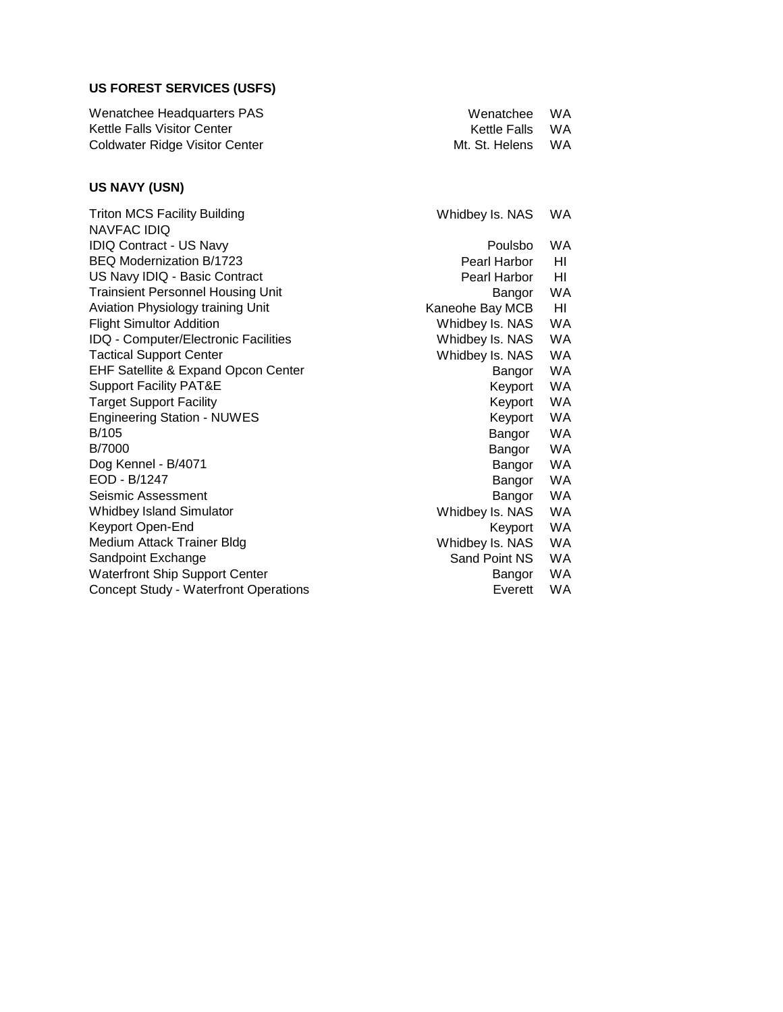# **US FOREST SERVICES (USFS)**

| Wenatchee Headquarters PAS            | Wenatchee WA      |  |
|---------------------------------------|-------------------|--|
| Kettle Falls Visitor Center           | Kettle Falls WA   |  |
| <b>Coldwater Ridge Visitor Center</b> | Mt. St. Helens WA |  |

## **US NAVY (USN)**

| Whidbey Is. NAS | <b>WA</b> |
|-----------------|-----------|
|                 |           |
| Poulsbo         | WA        |
| Pearl Harbor    | HI        |
| Pearl Harbor    | HI        |
| Bangor          | WA        |
| Kaneohe Bay MCB | HI        |
| Whidbey Is. NAS | WA        |
| Whidbey Is. NAS | WA        |
| Whidbey Is. NAS | WA        |
| Bangor          | WA        |
| Keyport         | WA        |
| Keyport         | WA        |
| Keyport         | WA        |
| Bangor          | WA        |
| Bangor          | WA        |
| Bangor          | WA        |
| Bangor          | WA        |
| Bangor          | WA        |
| Whidbey Is. NAS | <b>WA</b> |
| Keyport         | <b>WA</b> |
| Whidbey Is. NAS | WA        |
| Sand Point NS   | WA        |
| Bangor          | WA        |
| Everett         | <b>WA</b> |
|                 |           |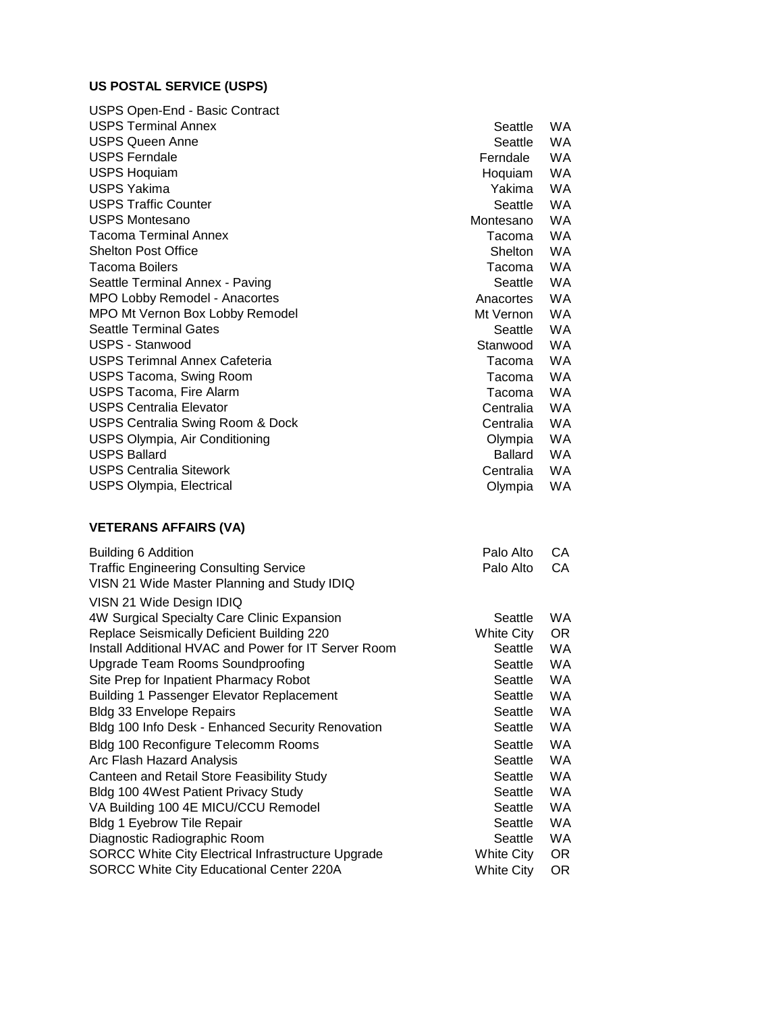# **US POSTAL SERVICE (USPS)**

| USPS Open-End - Basic Contract       |                |           |
|--------------------------------------|----------------|-----------|
| <b>USPS Terminal Annex</b>           | Seattle        | <b>WA</b> |
| <b>USPS Queen Anne</b>               | Seattle        | WA.       |
| <b>USPS Ferndale</b>                 | Ferndale       | <b>WA</b> |
| <b>USPS Hoquiam</b>                  | Hoquiam        | <b>WA</b> |
| USPS Yakima                          | Yakima         | <b>WA</b> |
| <b>USPS Traffic Counter</b>          | Seattle        | <b>WA</b> |
| <b>USPS Montesano</b>                | Montesano      | <b>WA</b> |
| <b>Tacoma Terminal Annex</b>         | Tacoma         | <b>WA</b> |
| <b>Shelton Post Office</b>           | <b>Shelton</b> | <b>WA</b> |
| <b>Tacoma Boilers</b>                | Tacoma         | <b>WA</b> |
| Seattle Terminal Annex - Paving      | Seattle        | <b>WA</b> |
| MPO Lobby Remodel - Anacortes        | Anacortes      | WA.       |
| MPO Mt Vernon Box Lobby Remodel      | Mt Vernon      | <b>WA</b> |
| <b>Seattle Terminal Gates</b>        | Seattle        | <b>WA</b> |
| USPS - Stanwood                      | Stanwood       | <b>WA</b> |
| <b>USPS Terimnal Annex Cafeteria</b> | Tacoma         | WA.       |
| <b>USPS Tacoma, Swing Room</b>       | Tacoma         | <b>WA</b> |
| USPS Tacoma, Fire Alarm              | Tacoma         | <b>WA</b> |
| <b>USPS Centralia Elevator</b>       | Centralia      | <b>WA</b> |
| USPS Centralia Swing Room & Dock     | Centralia      | <b>WA</b> |
| USPS Olympia, Air Conditioning       | Olympia        | WA        |
| <b>USPS Ballard</b>                  | Ballard        | <b>WA</b> |
| <b>USPS Centralia Sitework</b>       | Centralia      | <b>WA</b> |
| <b>USPS Olympia, Electrical</b>      | Olympia        | <b>WA</b> |

## **VETERANS AFFAIRS (VA)**

| Building 6 Addition                                  | Palo Alto  | CA.       |
|------------------------------------------------------|------------|-----------|
| <b>Traffic Engineering Consulting Service</b>        | Palo Alto  | CA.       |
| VISN 21 Wide Master Planning and Study IDIQ          |            |           |
| VISN 21 Wide Design IDIQ                             |            |           |
| 4W Surgical Specialty Care Clinic Expansion          | Seattle    | <b>WA</b> |
| Replace Seismically Deficient Building 220           | White City | OR.       |
| Install Additional HVAC and Power for IT Server Room | Seattle    | <b>WA</b> |
| Upgrade Team Rooms Soundproofing                     | Seattle    | <b>WA</b> |
| Site Prep for Inpatient Pharmacy Robot               | Seattle    | <b>WA</b> |
| Building 1 Passenger Elevator Replacement            | Seattle    | <b>WA</b> |
| <b>Bldg 33 Envelope Repairs</b>                      | Seattle    | WA.       |
| Bldg 100 Info Desk - Enhanced Security Renovation    | Seattle    | WA.       |
| Bldg 100 Reconfigure Telecomm Rooms                  | Seattle    | <b>WA</b> |
| Arc Flash Hazard Analysis                            | Seattle    | <b>WA</b> |
| Canteen and Retail Store Feasibility Study           | Seattle    | <b>WA</b> |
| Bldg 100 4West Patient Privacy Study                 | Seattle    | <b>WA</b> |
| VA Building 100 4E MICU/CCU Remodel                  | Seattle    | <b>WA</b> |
| <b>Bldg 1 Eyebrow Tile Repair</b>                    | Seattle    | <b>WA</b> |
| Diagnostic Radiographic Room                         | Seattle    | <b>WA</b> |
| SORCC White City Electrical Infrastructure Upgrade   | White City | OR.       |
| SORCC White City Educational Center 220A             | White City | OR.       |